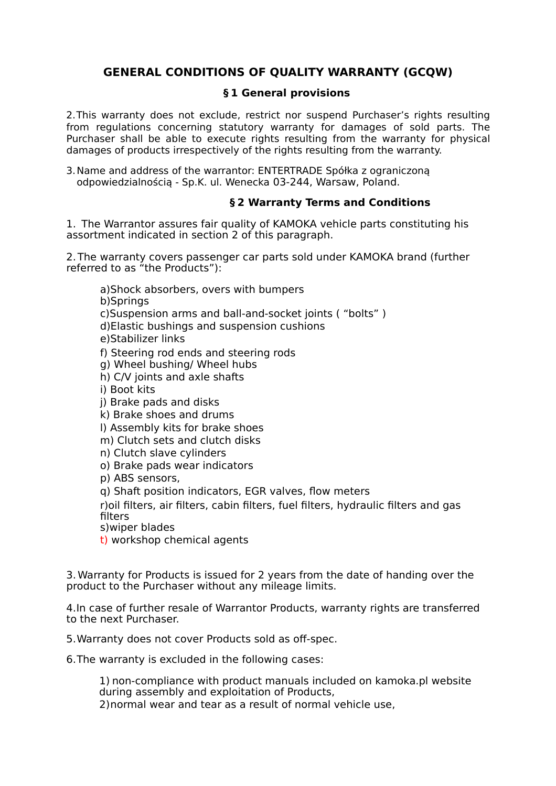# **GENERAL CONDITIONS OF QUALITY WARRANTY (GCQW)**

## **§ 1 General provisions**

2.This warranty does not exclude, restrict nor suspend Purchaser's rights resulting from regulations concerning statutory warranty for damages of sold parts. The Purchaser shall be able to execute rights resulting from the warranty for physical damages of products irrespectively of the rights resulting from the warranty.

3.Name and address of the warrantor: ENTERTRADE Spółka z ograniczoną odpowiedzialnością - Sp.K. ul. Wenecka 03-244, Warsaw, Poland.

## **§ 2 Warranty Terms and Conditions**

1. The Warrantor assures fair quality of KAMOKA vehicle parts constituting his assortment indicated in section 2 of this paragraph.

2.The warranty covers passenger car parts sold under KAMOKA brand (further referred to as "the Products"):

a)Shock absorbers, overs with bumpers b)Springs c)Suspension arms and ball-and-socket joints ( "bolts" ) d)Elastic bushings and suspension cushions e)Stabilizer links f) Steering rod ends and steering rods g) Wheel bushing/ Wheel hubs h) C/V joints and axle shafts i) Boot kits

j) Brake pads and disks k) Brake shoes and drums

l) Assembly kits for brake shoes

m) Clutch sets and clutch disks

n) Clutch slave cylinders

o) Brake pads wear indicators

p) ABS sensors,

q) Shaft position indicators, EGR valves, flow meters

r)oil filters, air filters, cabin filters, fuel filters, hydraulic filters and gas filters

s)wiper blades

t) workshop chemical agents

3. Warranty for Products is issued for 2 years from the date of handing over the product to the Purchaser without any mileage limits.

4.In case of further resale of Warrantor Products, warranty rights are transferred to the next Purchaser.

5.Warranty does not cover Products sold as off-spec.

6.The warranty is excluded in the following cases:

1) non-compliance with product manuals included on kamoka.pl website during assembly and exploitation of Products,

2)normal wear and tear as a result of normal vehicle use,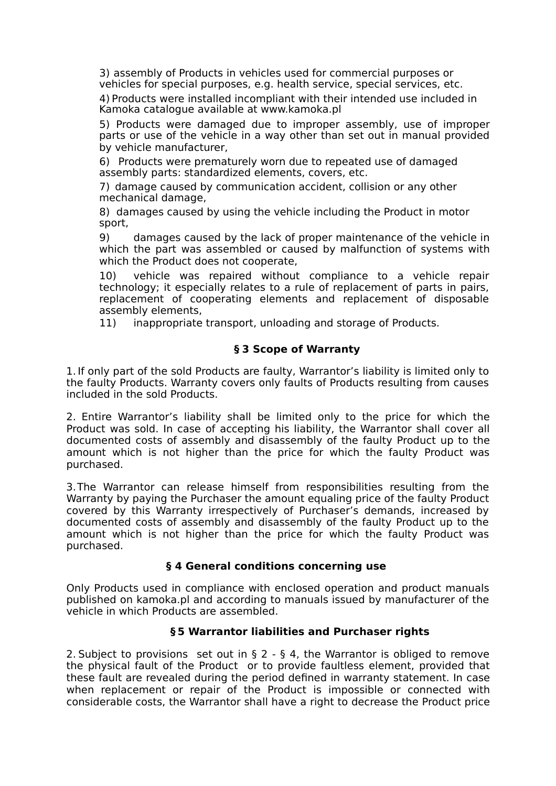3) assembly of Products in vehicles used for commercial purposes or vehicles for special purposes, e.g. health service, special services, etc.

4) Products were installed incompliant with their intended use included in Kamoka catalogue available at www.kamoka.pl

5) Products were damaged due to improper assembly, use of improper parts or use of the vehicle in a way other than set out in manual provided by vehicle manufacturer,

6) Products were prematurely worn due to repeated use of damaged assembly parts: standardized elements, covers, etc.

7) damage caused by communication accident, collision or any other mechanical damage,

8) damages caused by using the vehicle including the Product in motor sport,

9) damages caused by the lack of proper maintenance of the vehicle in which the part was assembled or caused by malfunction of systems with which the Product does not cooperate,

10) vehicle was repaired without compliance to a vehicle repair technology; it especially relates to a rule of replacement of parts in pairs, replacement of cooperating elements and replacement of disposable assembly elements,

11) inappropriate transport, unloading and storage of Products.

## **§ 3 Scope of Warranty**

1. If only part of the sold Products are faulty, Warrantor's liability is limited only to the faulty Products. Warranty covers only faults of Products resulting from causes included in the sold Products.

2. Entire Warrantor's liability shall be limited only to the price for which the Product was sold. In case of accepting his liability, the Warrantor shall cover all documented costs of assembly and disassembly of the faulty Product up to the amount which is not higher than the price for which the faulty Product was purchased.

3.The Warrantor can release himself from responsibilities resulting from the Warranty by paying the Purchaser the amount equaling price of the faulty Product covered by this Warranty irrespectively of Purchaser's demands, increased by documented costs of assembly and disassembly of the faulty Product up to the amount which is not higher than the price for which the faulty Product was purchased.

## **§ 4 General conditions concerning use**

Only Products used in compliance with enclosed operation and product manuals published on kamoka.pl and according to manuals issued by manufacturer of the vehicle in which Products are assembled.

#### **§ 5 Warrantor liabilities and Purchaser rights**

2. Subject to provisions set out in  $\S 2 - \S 4$ , the Warrantor is obliged to remove the physical fault of the Product or to provide faultless element, provided that these fault are revealed during the period defined in warranty statement. In case when replacement or repair of the Product is impossible or connected with considerable costs, the Warrantor shall have a right to decrease the Product price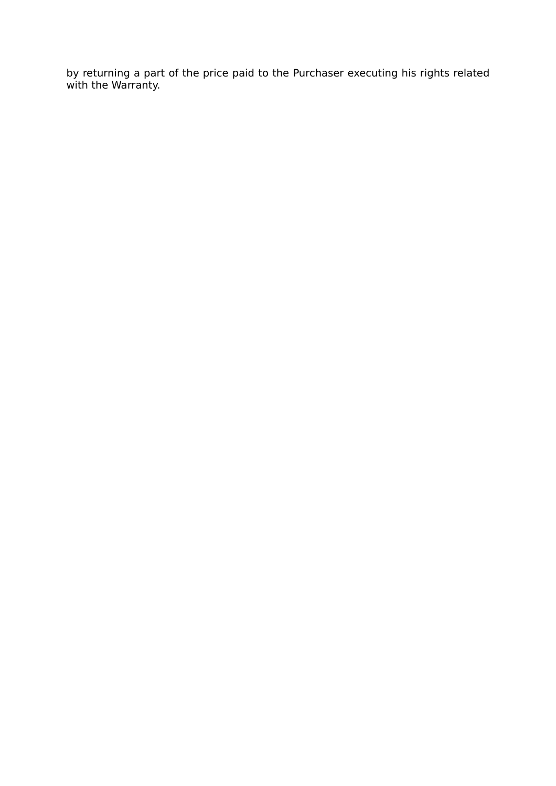by returning a part of the price paid to the Purchaser executing his rights related with the Warranty.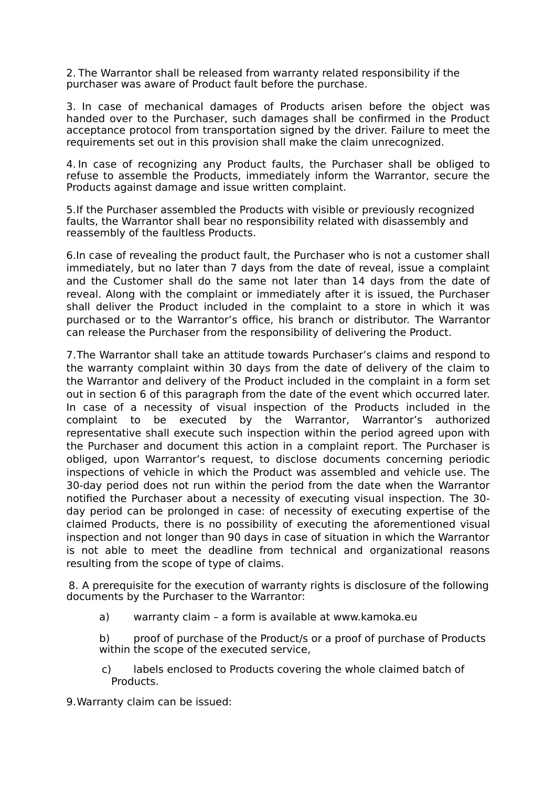2. The Warrantor shall be released from warranty related responsibility if the purchaser was aware of Product fault before the purchase.

3. In case of mechanical damages of Products arisen before the object was handed over to the Purchaser, such damages shall be confirmed in the Product acceptance protocol from transportation signed by the driver. Failure to meet the requirements set out in this provision shall make the claim unrecognized.

4. In case of recognizing any Product faults, the Purchaser shall be obliged to refuse to assemble the Products, immediately inform the Warrantor, secure the Products against damage and issue written complaint.

5.If the Purchaser assembled the Products with visible or previously recognized faults, the Warrantor shall bear no responsibility related with disassembly and reassembly of the faultless Products.

6.In case of revealing the product fault, the Purchaser who is not a customer shall immediately, but no later than 7 days from the date of reveal, issue a complaint and the Customer shall do the same not later than 14 days from the date of reveal. Along with the complaint or immediately after it is issued, the Purchaser shall deliver the Product included in the complaint to a store in which it was purchased or to the Warrantor's office, his branch or distributor. The Warrantor can release the Purchaser from the responsibility of delivering the Product.

7.The Warrantor shall take an attitude towards Purchaser's claims and respond to the warranty complaint within 30 days from the date of delivery of the claim to the Warrantor and delivery of the Product included in the complaint in a form set out in section 6 of this paragraph from the date of the event which occurred later. In case of a necessity of visual inspection of the Products included in the complaint to be executed by the Warrantor, Warrantor's authorized representative shall execute such inspection within the period agreed upon with the Purchaser and document this action in a complaint report. The Purchaser is obliged, upon Warrantor's request, to disclose documents concerning periodic inspections of vehicle in which the Product was assembled and vehicle use. The 30-day period does not run within the period from the date when the Warrantor notified the Purchaser about a necessity of executing visual inspection. The 30 day period can be prolonged in case: of necessity of executing expertise of the claimed Products, there is no possibility of executing the aforementioned visual inspection and not longer than 90 days in case of situation in which the Warrantor is not able to meet the deadline from technical and organizational reasons resulting from the scope of type of claims.

8. A prerequisite for the execution of warranty rights is disclosure of the following documents by the Purchaser to the Warrantor:

a) warranty claim – a form is available at www.kamoka.eu

b) proof of purchase of the Product/s or a proof of purchase of Products within the scope of the executed service,

c) labels enclosed to Products covering the whole claimed batch of Products.

9.Warranty claim can be issued: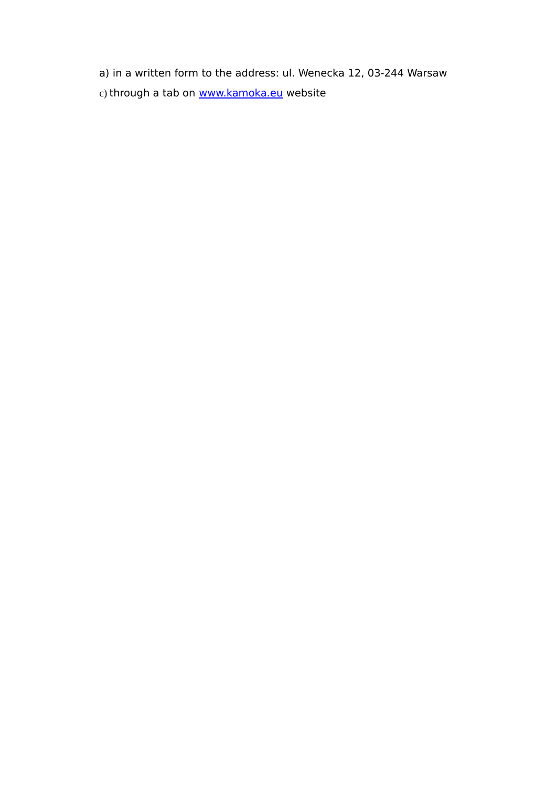a) in a written form to the address: ul. Wenecka 12, 03-244 Warsaw c) through a tab on [www.kamoka.eu](http://www.kamoka.eu/) website